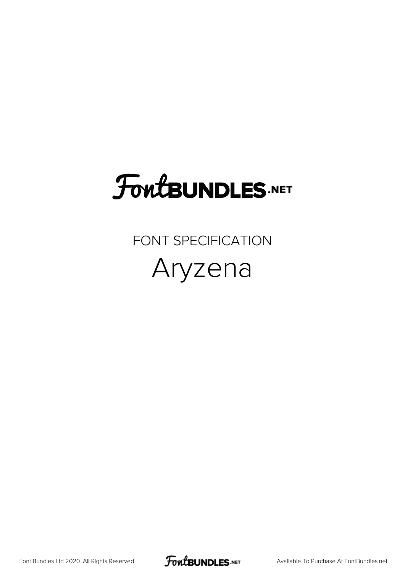## **FoutBUNDLES.NET**

FONT SPECIFICATION Aryzena

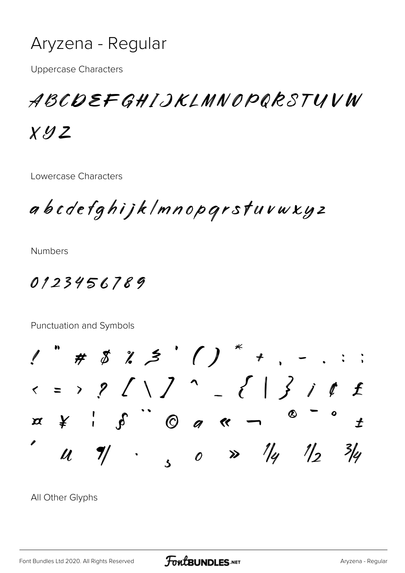

**Uppercase Characters** 

ABCDEFGHIJKLMNOPQRSTUVW

 $X.42Z$ 

Lowercase Characters

abcdefghijklmnopgrstuvwxyz

**Numbers** 

0123456789

Punctuation and Symbols

 $"\# 8 2 5' () * ,$  $x \rightarrow 2$  / \ ] ^ \_ { | } i t £  $x \times '$   $S$   $Q$   $q$   $\kappa$   $-\kappa$  $\bigstar$ Ø  $\frac{2}{4}$  $\boldsymbol{\mathcal{U}}$  $\frac{1}{2}$ 

All Other Glyphs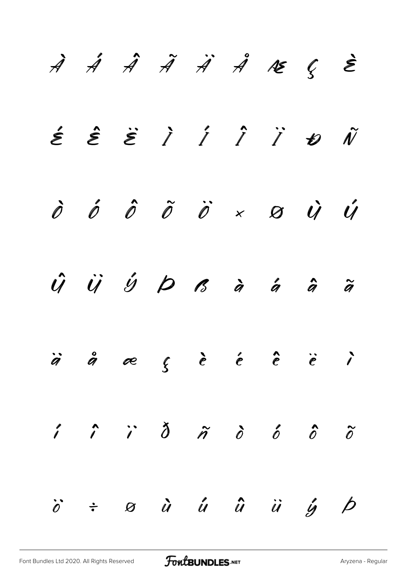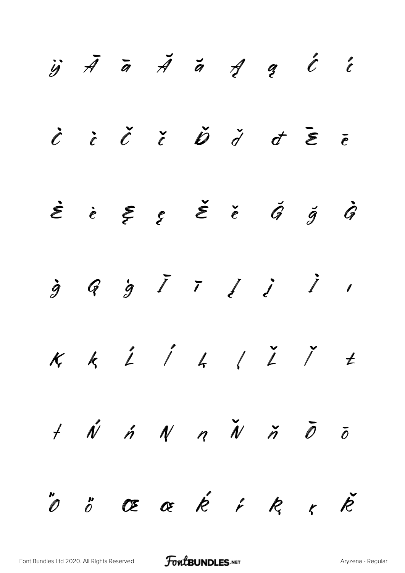|  |  |  | $\ddot{y}$ $\bar{A}$ $\bar{a}$ $\ddot{A}$ $\ddot{a}$ $\dot{d}$ $\ddot{d}$ $\ddot{e}$                                |  |
|--|--|--|---------------------------------------------------------------------------------------------------------------------|--|
|  |  |  | $\dot{c}$ $\dot{c}$ $\ddot{c}$ $\ddot{c}$ $\ddot{b}$ $\ddot{d}$ $\dot{d}$ $\ddot{\epsilon}$ $\ddot{\epsilon}$       |  |
|  |  |  | $\dot{\mathcal{E}}$ is $\dot{\mathcal{E}}$ is $\dot{\mathcal{E}}$ is $\dot{\mathcal{G}}$ is $\dot{\mathcal{G}}$     |  |
|  |  |  | $\dot{g}$ G $\dot{g}$ $\bar{I}$ $\bar{f}$ $\dot{\ell}$ $\dot{\ell}$ $\dot{\ell}$                                    |  |
|  |  |  | $K$ k $\acute{L}$ $\acute{L}$ k $\acute{L}$ $\acute{L}$ $\acute{L}$                                                 |  |
|  |  |  | $+$ $\acute{\psi}$ $\acute{\eta}$ $\acute{\psi}$ $\eta$ $\acute{\psi}$ $\acute{\eta}$ $\ddot{\theta}$ $\ddot{\phi}$ |  |
|  |  |  | "O" Œ Œ Ŕ ŕ R ŗ Ř                                                                                                   |  |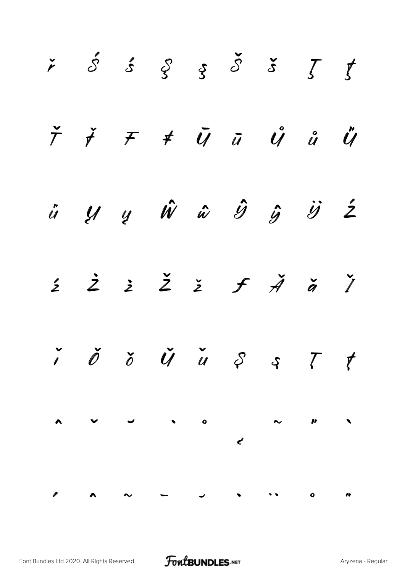|  |  |  | $\check{r}$ $\acute{\mathcal{S}}$ $\acute{\mathcal{S}}$ $\acute{\mathcal{S}}$ $\acute{\mathcal{S}}$ $\acute{\mathcal{S}}$ $\acute{\mathcal{S}}$ $\acute{\mathcal{S}}$ $\acute{\mathcal{S}}$                                                               |  |
|--|--|--|-----------------------------------------------------------------------------------------------------------------------------------------------------------------------------------------------------------------------------------------------------------|--|
|  |  |  | $\check{\tau}$ $\check{\tau}$ $\tau$ $\bar{u}$ $\bar{u}$ $\hat{u}$ $\hat{u}$ $\ddot{u}$                                                                                                                                                                   |  |
|  |  |  | ü y y Ŵ ŵ Î ŷ Ï Ź                                                                                                                                                                                                                                         |  |
|  |  |  | $\begin{array}{cccccccccccccc} \text{\large $\dot{z}$} & \text{\large $\dot{z}$} & \text{\large $\dot{z}$} & \text{\large $\dot{z}$} & \text{\large $\dot{f}$} & \text{\large $\dot{A}$} & \text{\large $\dot{a}$} & \text{\large $\dot{I}$} \end{array}$ |  |
|  |  |  | $\check{\prime}$ $\check{\phi}$ $\check{\phi}$ $\check{\psi}$ $\check{u}$ $\varsigma$ $\varsigma$ $\tau$ $t$                                                                                                                                              |  |
|  |  |  |                                                                                                                                                                                                                                                           |  |
|  |  |  |                                                                                                                                                                                                                                                           |  |